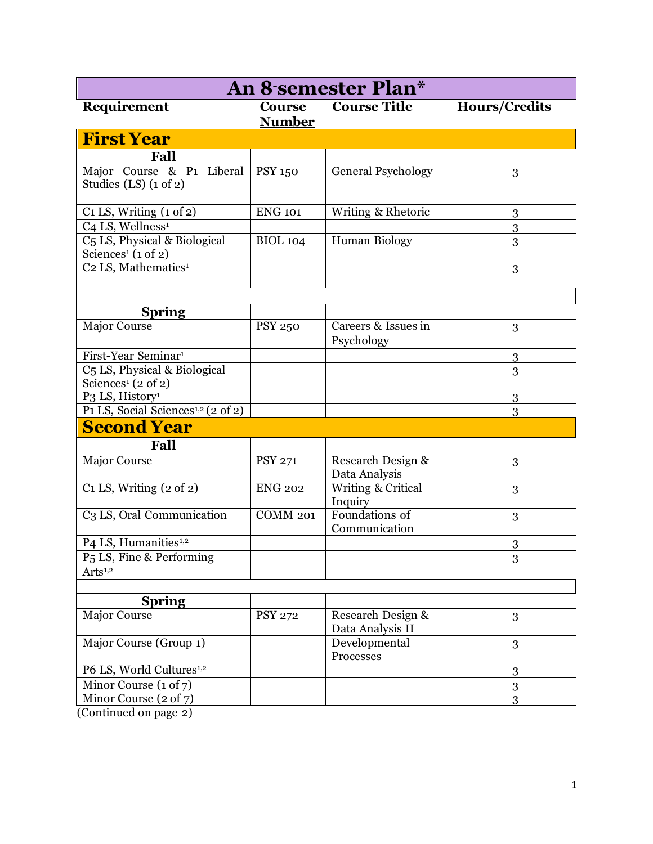| An 8 semester Plan*                                             |                                |                                       |                      |  |
|-----------------------------------------------------------------|--------------------------------|---------------------------------------|----------------------|--|
| Requirement                                                     | <b>Course</b><br><b>Number</b> | <b>Course Title</b>                   | <b>Hours/Credits</b> |  |
| <b>First Year</b>                                               |                                |                                       |                      |  |
| Fall                                                            |                                |                                       |                      |  |
| Major Course & P1 Liberal<br>Studies $(LS)$ $(1 \text{ of } 2)$ | <b>PSY 150</b>                 | <b>General Psychology</b>             | 3                    |  |
| $C1$ LS, Writing $(1 \text{ of } 2)$                            | <b>ENG 101</b>                 | Writing & Rhetoric                    | 3                    |  |
| C <sub>4</sub> LS, Wellness <sup>1</sup>                        |                                |                                       | 3                    |  |
| C5 LS, Physical & Biological<br>Sciences <sup>1</sup> (1 of 2)  | <b>BIOL 104</b>                | Human Biology                         | 3                    |  |
| C <sub>2</sub> LS, Mathematics <sup>1</sup>                     |                                |                                       | 3                    |  |
|                                                                 |                                |                                       |                      |  |
| <b>Spring</b>                                                   |                                |                                       |                      |  |
| Major Course                                                    | <b>PSY 250</b>                 | Careers & Issues in<br>Psychology     | 3                    |  |
| First-Year Seminar <sup>1</sup>                                 |                                |                                       | 3                    |  |
| C5 LS, Physical & Biological<br>Sciences <sup>1</sup> (2 of 2)  |                                |                                       | 3                    |  |
| P3 LS, History <sup>1</sup>                                     |                                |                                       | 3                    |  |
| P1 LS, Social Sciences <sup>1,2</sup> (2 of 2)                  |                                |                                       | 3                    |  |
| <b>Second Year</b>                                              |                                |                                       |                      |  |
| Fall                                                            |                                |                                       |                      |  |
| <b>Major Course</b>                                             | <b>PSY 271</b>                 | Research Design &<br>Data Analysis    | 3                    |  |
| $C1$ LS, Writing $(2 \text{ of } 2)$                            | <b>ENG 202</b>                 | Writing & Critical<br>Inquiry         | 3                    |  |
| C3 LS, Oral Communication                                       | <b>COMM 201</b>                | Foundations of<br>Communication       | 3                    |  |
| P4 LS, Humanities <sup>1,2</sup>                                |                                |                                       | 3                    |  |
| P <sub>5</sub> LS, Fine & Performing<br>Arts <sup>1,2</sup>     |                                |                                       | 3                    |  |
|                                                                 |                                |                                       |                      |  |
| <b>Spring</b>                                                   |                                |                                       |                      |  |
| <b>Major Course</b>                                             | <b>PSY 272</b>                 | Research Design &<br>Data Analysis II | 3                    |  |
| Major Course (Group 1)                                          |                                | Developmental<br>Processes            | 3                    |  |
| P6 LS, World Cultures <sup>1,2</sup>                            |                                |                                       | 3                    |  |
| Minor Course (1 of 7)                                           |                                |                                       | 3                    |  |
| Minor Course $(2 \text{ of } 7)$                                |                                |                                       | 3                    |  |

(Continued on page 2)